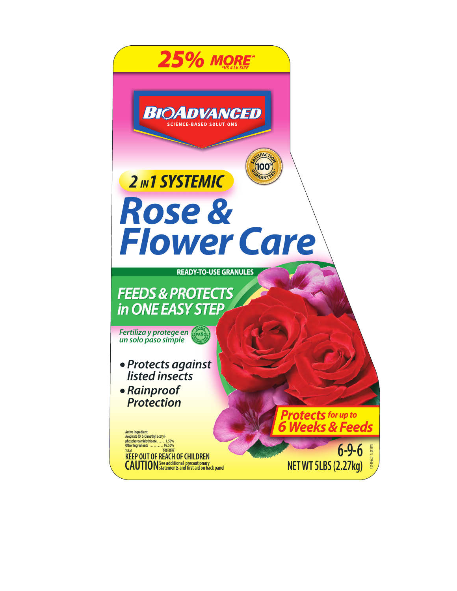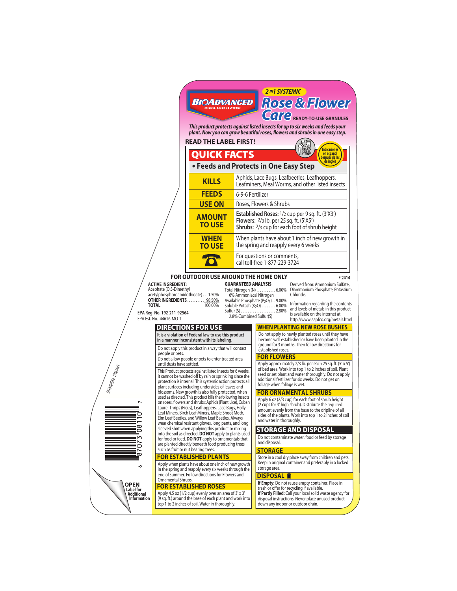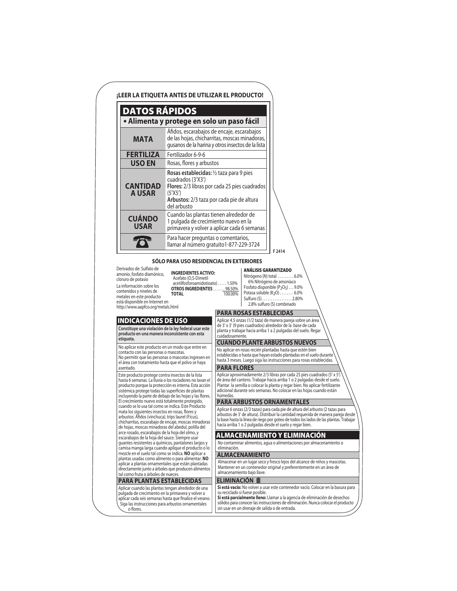| DATOS RÁPIDOS<br>· Alimenta y protege en solo un paso fácil<br>Áfidos, escarabajos de encaje, escarabajos<br>de las hojas, chicharritas, moscas minadoras,<br><b>MATA</b><br>gusanos de la harina y otros insectos de la lista<br><b>FERTILIZA</b><br>Fertilizador 6-9-6<br><b>USO EN</b><br>Rosas, flores y arbustos<br>Rosas establecidas: 1/2 taza para 9 pies<br>cuadrados (3'X3')<br><b>CANTIDAD</b><br>Flores: 2/3 libras por cada 25 pies cuadrados<br><b>A USAR</b><br>(5'X5')<br>Arbustos: 2/3 taza por cada pie de altura<br>del arbusto<br>Cuando las plantas tienen alrededor de<br><b>CUÁNDO</b><br>1 pulgada de crecimiento nuevo en la<br><b>USAR</b><br>primavera y volver a aplicar cada 6 semanas<br>Para hacer preguntas o comentarios,<br>llamar al número gratuito1-877-229-3724<br>F 2414<br>SÓLO PARA USO RESIDENCIAL EN EXTERIORES<br>Derivados de: Sulfato de<br><b>ANÁLISIS GARANTIZADO</b><br><b>INGREDIENTES ACTIVO:</b><br>amonio, fosfato diamónico,<br>Nitrógeno (N) total 6.0%<br>Acefato (O,S-Dimetil<br>cloruro de potasio<br>6% Nitrógeno de amoníaco<br>acetilfosforoamidotioato)1.50%<br>La información sobre los<br>Fosfato disponible $(P_2O_5) \dots 9.0\%$<br>OTROS INGREDIENTES  98.50%<br>contenidos y niveles de<br>Potasa soluble $(K_2O)$ 6.0%<br>100.00%<br><b>TOTAL</b><br>metales en este producto<br>Sulfuro (S) 2.80%<br>está disponible en Internet en<br>2.8% sulfuro (S) combinado<br>http://www.aapfco.org/metals.html<br><b>PARA ROSAS ESTABLECIDAS</b><br><b>INDICACIONES DE USO</b><br>Aplicar 4.5 onzas (1/2 taza) de manera pareja sobre un área<br>de 3' x 3' (9 pies cuadrados) alrededor de la base de cada<br>Constituye una violación de la ley federal usar este<br>planta y trabajar hacia arriba 1 a 2 pulgadas del suelo. Regar<br>producto en una manera inconsistente con esta<br>cuidadosamente.<br>etiqueta.<br><b>CUANDO PLANTE ARBUSTOS NUEVOS</b><br>No aplicar este producto en un modo que entre en<br>No aplicar en rosas recién plantadas hasta que estén bien<br>contacto con las personas o mascotas.<br>establecidas o hasta que hayan estado plantadas en el suelo durante<br>No permitir que las personas o mascotas ingresen en<br>hasta 3 meses. Luego siga las instrucciones para rosas establecidas.<br>el área con tratamiento hasta que el polvo se haya<br><b>PARA FLORES</b><br>asentado.<br>Aplicar aproximadamente 2/3 libras por cada 25 pies cuadrados (5' x 5')<br>Este producto protege contra insectos de la lista<br>de área del cantero. Trabajar hacia arriba 1 o 2 pulgadas desde el suelo.<br>hasta 6 semanas. La lluvia o los rociadores no lavan el<br>Plantar la semilla o colocar la planta y regar bien. No aplicar fertilizante<br>producto porque la protección es interna. Esta acción<br>adicional durante seis semanas. No colocar en las hojas cuando están<br>sistémica protege todas las superficies de plantas<br>húmedas.<br>incluyendo la parte de debajo de las hojas y las flores.<br>El crecimiento nuevo está totalmente protegido,<br><b>PARA ARBUSTOS ORNAMENTALES</b><br>cuando se lo usa tal como se indica. Este Producto<br>mata los siguientes insectos en rosas, flores y<br>arbustos: Áfidos (vinchuca), trips laurel (Ficus),<br>la base hasta la línea de riego por goteo de todos los lados de las plantas. Trabajar<br>chicharritas, escarabajo de encaje, moscas minadoras<br>hacia arriba 1 o 2 pulgadas desde el suelo y regar bien.<br>de hojas, moscas minadoras del abedul, polilla del<br>arce rosado, escarabajos de la hoja del olmo, y<br>ALMACENAMIENTO Y ELIMINACIÓN<br>escarabajos de la hoja del sauce. Siempre usar<br>No contaminar alimentos, aqua o alimentaciones por almacenamiento o<br>guantes resistentes a químicos, pantalones largos y<br>camisa manga larga cuando aplique el producto o lo<br>eliminación.<br>mezcle en el suelo tal como se indica. NO aplicar a<br><b>ALMACENAMIENTO</b><br>plantas usadas como alimento o para alimentar. NO<br>aplicar a plantas ornamentales que están plantadas<br>Mantener en un contenedor original y preferentemente en un área de<br>directamente junto a árboles que producen alimentos<br>almacenamiento bajo llave.<br>tal como fruta o árboles de nueces. |                                                                                                                                                                    |  | ¡LEER LA ETIQUETA ANTES DE UTILIZAR EL PRODUCTO!                                                                                                                                                                                                   |
|-------------------------------------------------------------------------------------------------------------------------------------------------------------------------------------------------------------------------------------------------------------------------------------------------------------------------------------------------------------------------------------------------------------------------------------------------------------------------------------------------------------------------------------------------------------------------------------------------------------------------------------------------------------------------------------------------------------------------------------------------------------------------------------------------------------------------------------------------------------------------------------------------------------------------------------------------------------------------------------------------------------------------------------------------------------------------------------------------------------------------------------------------------------------------------------------------------------------------------------------------------------------------------------------------------------------------------------------------------------------------------------------------------------------------------------------------------------------------------------------------------------------------------------------------------------------------------------------------------------------------------------------------------------------------------------------------------------------------------------------------------------------------------------------------------------------------------------------------------------------------------------------------------------------------------------------------------------------------------------------------------------------------------------------------------------------------------------------------------------------------------------------------------------------------------------------------------------------------------------------------------------------------------------------------------------------------------------------------------------------------------------------------------------------------------------------------------------------------------------------------------------------------------------------------------------------------------------------------------------------------------------------------------------------------------------------------------------------------------------------------------------------------------------------------------------------------------------------------------------------------------------------------------------------------------------------------------------------------------------------------------------------------------------------------------------------------------------------------------------------------------------------------------------------------------------------------------------------------------------------------------------------------------------------------------------------------------------------------------------------------------------------------------------------------------------------------------------------------------------------------------------------------------------------------------------------------------------------------------------------------------------------------------------------------------------------------------------------------------------------------------------------------------------------------------------------------------------------------------------------------------------------------------------------------------------------------------------------------------------------------------------------------------------------------------------------------------------------------------------------------------------------------------------------------------------------------------------------------------------------------------------------------------|--------------------------------------------------------------------------------------------------------------------------------------------------------------------|--|----------------------------------------------------------------------------------------------------------------------------------------------------------------------------------------------------------------------------------------------------|
|                                                                                                                                                                                                                                                                                                                                                                                                                                                                                                                                                                                                                                                                                                                                                                                                                                                                                                                                                                                                                                                                                                                                                                                                                                                                                                                                                                                                                                                                                                                                                                                                                                                                                                                                                                                                                                                                                                                                                                                                                                                                                                                                                                                                                                                                                                                                                                                                                                                                                                                                                                                                                                                                                                                                                                                                                                                                                                                                                                                                                                                                                                                                                                                                                                                                                                                                                                                                                                                                                                                                                                                                                                                                                                                                                                                                                                                                                                                                                                                                                                                                                                                                                                                                                                                                               |                                                                                                                                                                    |  |                                                                                                                                                                                                                                                    |
|                                                                                                                                                                                                                                                                                                                                                                                                                                                                                                                                                                                                                                                                                                                                                                                                                                                                                                                                                                                                                                                                                                                                                                                                                                                                                                                                                                                                                                                                                                                                                                                                                                                                                                                                                                                                                                                                                                                                                                                                                                                                                                                                                                                                                                                                                                                                                                                                                                                                                                                                                                                                                                                                                                                                                                                                                                                                                                                                                                                                                                                                                                                                                                                                                                                                                                                                                                                                                                                                                                                                                                                                                                                                                                                                                                                                                                                                                                                                                                                                                                                                                                                                                                                                                                                                               |                                                                                                                                                                    |  |                                                                                                                                                                                                                                                    |
|                                                                                                                                                                                                                                                                                                                                                                                                                                                                                                                                                                                                                                                                                                                                                                                                                                                                                                                                                                                                                                                                                                                                                                                                                                                                                                                                                                                                                                                                                                                                                                                                                                                                                                                                                                                                                                                                                                                                                                                                                                                                                                                                                                                                                                                                                                                                                                                                                                                                                                                                                                                                                                                                                                                                                                                                                                                                                                                                                                                                                                                                                                                                                                                                                                                                                                                                                                                                                                                                                                                                                                                                                                                                                                                                                                                                                                                                                                                                                                                                                                                                                                                                                                                                                                                                               |                                                                                                                                                                    |  |                                                                                                                                                                                                                                                    |
|                                                                                                                                                                                                                                                                                                                                                                                                                                                                                                                                                                                                                                                                                                                                                                                                                                                                                                                                                                                                                                                                                                                                                                                                                                                                                                                                                                                                                                                                                                                                                                                                                                                                                                                                                                                                                                                                                                                                                                                                                                                                                                                                                                                                                                                                                                                                                                                                                                                                                                                                                                                                                                                                                                                                                                                                                                                                                                                                                                                                                                                                                                                                                                                                                                                                                                                                                                                                                                                                                                                                                                                                                                                                                                                                                                                                                                                                                                                                                                                                                                                                                                                                                                                                                                                                               |                                                                                                                                                                    |  |                                                                                                                                                                                                                                                    |
|                                                                                                                                                                                                                                                                                                                                                                                                                                                                                                                                                                                                                                                                                                                                                                                                                                                                                                                                                                                                                                                                                                                                                                                                                                                                                                                                                                                                                                                                                                                                                                                                                                                                                                                                                                                                                                                                                                                                                                                                                                                                                                                                                                                                                                                                                                                                                                                                                                                                                                                                                                                                                                                                                                                                                                                                                                                                                                                                                                                                                                                                                                                                                                                                                                                                                                                                                                                                                                                                                                                                                                                                                                                                                                                                                                                                                                                                                                                                                                                                                                                                                                                                                                                                                                                                               |                                                                                                                                                                    |  |                                                                                                                                                                                                                                                    |
|                                                                                                                                                                                                                                                                                                                                                                                                                                                                                                                                                                                                                                                                                                                                                                                                                                                                                                                                                                                                                                                                                                                                                                                                                                                                                                                                                                                                                                                                                                                                                                                                                                                                                                                                                                                                                                                                                                                                                                                                                                                                                                                                                                                                                                                                                                                                                                                                                                                                                                                                                                                                                                                                                                                                                                                                                                                                                                                                                                                                                                                                                                                                                                                                                                                                                                                                                                                                                                                                                                                                                                                                                                                                                                                                                                                                                                                                                                                                                                                                                                                                                                                                                                                                                                                                               |                                                                                                                                                                    |  |                                                                                                                                                                                                                                                    |
|                                                                                                                                                                                                                                                                                                                                                                                                                                                                                                                                                                                                                                                                                                                                                                                                                                                                                                                                                                                                                                                                                                                                                                                                                                                                                                                                                                                                                                                                                                                                                                                                                                                                                                                                                                                                                                                                                                                                                                                                                                                                                                                                                                                                                                                                                                                                                                                                                                                                                                                                                                                                                                                                                                                                                                                                                                                                                                                                                                                                                                                                                                                                                                                                                                                                                                                                                                                                                                                                                                                                                                                                                                                                                                                                                                                                                                                                                                                                                                                                                                                                                                                                                                                                                                                                               |                                                                                                                                                                    |  |                                                                                                                                                                                                                                                    |
|                                                                                                                                                                                                                                                                                                                                                                                                                                                                                                                                                                                                                                                                                                                                                                                                                                                                                                                                                                                                                                                                                                                                                                                                                                                                                                                                                                                                                                                                                                                                                                                                                                                                                                                                                                                                                                                                                                                                                                                                                                                                                                                                                                                                                                                                                                                                                                                                                                                                                                                                                                                                                                                                                                                                                                                                                                                                                                                                                                                                                                                                                                                                                                                                                                                                                                                                                                                                                                                                                                                                                                                                                                                                                                                                                                                                                                                                                                                                                                                                                                                                                                                                                                                                                                                                               |                                                                                                                                                                    |  |                                                                                                                                                                                                                                                    |
|                                                                                                                                                                                                                                                                                                                                                                                                                                                                                                                                                                                                                                                                                                                                                                                                                                                                                                                                                                                                                                                                                                                                                                                                                                                                                                                                                                                                                                                                                                                                                                                                                                                                                                                                                                                                                                                                                                                                                                                                                                                                                                                                                                                                                                                                                                                                                                                                                                                                                                                                                                                                                                                                                                                                                                                                                                                                                                                                                                                                                                                                                                                                                                                                                                                                                                                                                                                                                                                                                                                                                                                                                                                                                                                                                                                                                                                                                                                                                                                                                                                                                                                                                                                                                                                                               |                                                                                                                                                                    |  |                                                                                                                                                                                                                                                    |
|                                                                                                                                                                                                                                                                                                                                                                                                                                                                                                                                                                                                                                                                                                                                                                                                                                                                                                                                                                                                                                                                                                                                                                                                                                                                                                                                                                                                                                                                                                                                                                                                                                                                                                                                                                                                                                                                                                                                                                                                                                                                                                                                                                                                                                                                                                                                                                                                                                                                                                                                                                                                                                                                                                                                                                                                                                                                                                                                                                                                                                                                                                                                                                                                                                                                                                                                                                                                                                                                                                                                                                                                                                                                                                                                                                                                                                                                                                                                                                                                                                                                                                                                                                                                                                                                               |                                                                                                                                                                    |  |                                                                                                                                                                                                                                                    |
|                                                                                                                                                                                                                                                                                                                                                                                                                                                                                                                                                                                                                                                                                                                                                                                                                                                                                                                                                                                                                                                                                                                                                                                                                                                                                                                                                                                                                                                                                                                                                                                                                                                                                                                                                                                                                                                                                                                                                                                                                                                                                                                                                                                                                                                                                                                                                                                                                                                                                                                                                                                                                                                                                                                                                                                                                                                                                                                                                                                                                                                                                                                                                                                                                                                                                                                                                                                                                                                                                                                                                                                                                                                                                                                                                                                                                                                                                                                                                                                                                                                                                                                                                                                                                                                                               |                                                                                                                                                                    |  | Aplicar 6 onzas (2/3 tazas) para cada pie de altura del arbusto (2 tazas para<br>arbustos de 3' de altura). Distribuir la cantidad requerida de manera pareja desde                                                                                |
|                                                                                                                                                                                                                                                                                                                                                                                                                                                                                                                                                                                                                                                                                                                                                                                                                                                                                                                                                                                                                                                                                                                                                                                                                                                                                                                                                                                                                                                                                                                                                                                                                                                                                                                                                                                                                                                                                                                                                                                                                                                                                                                                                                                                                                                                                                                                                                                                                                                                                                                                                                                                                                                                                                                                                                                                                                                                                                                                                                                                                                                                                                                                                                                                                                                                                                                                                                                                                                                                                                                                                                                                                                                                                                                                                                                                                                                                                                                                                                                                                                                                                                                                                                                                                                                                               |                                                                                                                                                                    |  |                                                                                                                                                                                                                                                    |
|                                                                                                                                                                                                                                                                                                                                                                                                                                                                                                                                                                                                                                                                                                                                                                                                                                                                                                                                                                                                                                                                                                                                                                                                                                                                                                                                                                                                                                                                                                                                                                                                                                                                                                                                                                                                                                                                                                                                                                                                                                                                                                                                                                                                                                                                                                                                                                                                                                                                                                                                                                                                                                                                                                                                                                                                                                                                                                                                                                                                                                                                                                                                                                                                                                                                                                                                                                                                                                                                                                                                                                                                                                                                                                                                                                                                                                                                                                                                                                                                                                                                                                                                                                                                                                                                               |                                                                                                                                                                    |  |                                                                                                                                                                                                                                                    |
|                                                                                                                                                                                                                                                                                                                                                                                                                                                                                                                                                                                                                                                                                                                                                                                                                                                                                                                                                                                                                                                                                                                                                                                                                                                                                                                                                                                                                                                                                                                                                                                                                                                                                                                                                                                                                                                                                                                                                                                                                                                                                                                                                                                                                                                                                                                                                                                                                                                                                                                                                                                                                                                                                                                                                                                                                                                                                                                                                                                                                                                                                                                                                                                                                                                                                                                                                                                                                                                                                                                                                                                                                                                                                                                                                                                                                                                                                                                                                                                                                                                                                                                                                                                                                                                                               |                                                                                                                                                                    |  |                                                                                                                                                                                                                                                    |
|                                                                                                                                                                                                                                                                                                                                                                                                                                                                                                                                                                                                                                                                                                                                                                                                                                                                                                                                                                                                                                                                                                                                                                                                                                                                                                                                                                                                                                                                                                                                                                                                                                                                                                                                                                                                                                                                                                                                                                                                                                                                                                                                                                                                                                                                                                                                                                                                                                                                                                                                                                                                                                                                                                                                                                                                                                                                                                                                                                                                                                                                                                                                                                                                                                                                                                                                                                                                                                                                                                                                                                                                                                                                                                                                                                                                                                                                                                                                                                                                                                                                                                                                                                                                                                                                               |                                                                                                                                                                    |  | Almacenar en un lugar seco y fresco lejos del alcance de niños y mascotas.                                                                                                                                                                         |
|                                                                                                                                                                                                                                                                                                                                                                                                                                                                                                                                                                                                                                                                                                                                                                                                                                                                                                                                                                                                                                                                                                                                                                                                                                                                                                                                                                                                                                                                                                                                                                                                                                                                                                                                                                                                                                                                                                                                                                                                                                                                                                                                                                                                                                                                                                                                                                                                                                                                                                                                                                                                                                                                                                                                                                                                                                                                                                                                                                                                                                                                                                                                                                                                                                                                                                                                                                                                                                                                                                                                                                                                                                                                                                                                                                                                                                                                                                                                                                                                                                                                                                                                                                                                                                                                               |                                                                                                                                                                    |  |                                                                                                                                                                                                                                                    |
| <b>ELIMINACION III</b>                                                                                                                                                                                                                                                                                                                                                                                                                                                                                                                                                                                                                                                                                                                                                                                                                                                                                                                                                                                                                                                                                                                                                                                                                                                                                                                                                                                                                                                                                                                                                                                                                                                                                                                                                                                                                                                                                                                                                                                                                                                                                                                                                                                                                                                                                                                                                                                                                                                                                                                                                                                                                                                                                                                                                                                                                                                                                                                                                                                                                                                                                                                                                                                                                                                                                                                                                                                                                                                                                                                                                                                                                                                                                                                                                                                                                                                                                                                                                                                                                                                                                                                                                                                                                                                        | <b>PARA PLANTAS ESTABLECIDAS</b>                                                                                                                                   |  |                                                                                                                                                                                                                                                    |
| su reciclado si fuese posible.<br>Siga las instrucciones para arbustos ornamentales<br>sin usar en un drenaje de salida o de entrada.<br>o flores.                                                                                                                                                                                                                                                                                                                                                                                                                                                                                                                                                                                                                                                                                                                                                                                                                                                                                                                                                                                                                                                                                                                                                                                                                                                                                                                                                                                                                                                                                                                                                                                                                                                                                                                                                                                                                                                                                                                                                                                                                                                                                                                                                                                                                                                                                                                                                                                                                                                                                                                                                                                                                                                                                                                                                                                                                                                                                                                                                                                                                                                                                                                                                                                                                                                                                                                                                                                                                                                                                                                                                                                                                                                                                                                                                                                                                                                                                                                                                                                                                                                                                                                            | Aplicar cuando las plantas tengan alrededor de una<br>pulgada de crecimiento en la primavera y volver a<br>aplicar cada seis semanas hasta que finalice el verano. |  | Si está vacío: No volver a usar este contenedor vacío. Colocar en la basura para<br>Si está parcialmente lleno: Llamar a la agencia de eliminación de desechos<br>sólidos para conocer las instrucciones de eliminación. Nunca colocar el producto |